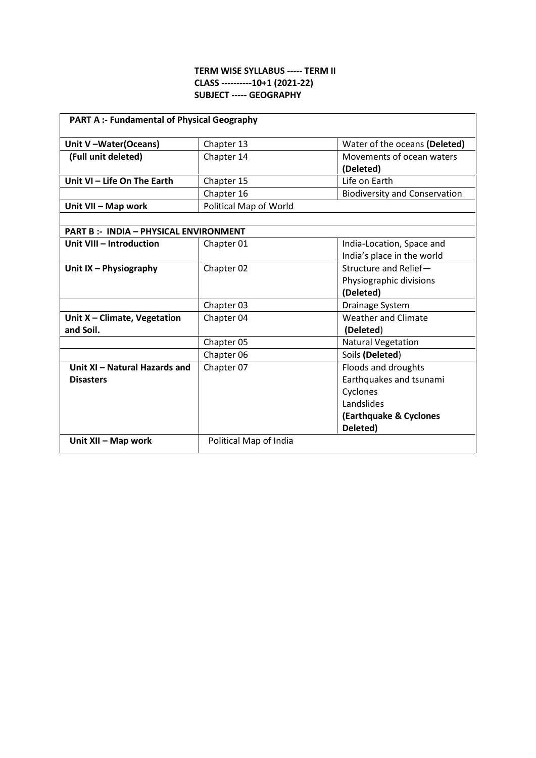## **TERM WISE SYLLABUS ----- TERM II CLASS ----------10+1 (2021-22) SUBJECT ----- GEOGRAPHY**

| <b>PART A :- Fundamental of Physical Geography</b> |                        |                                        |  |
|----------------------------------------------------|------------------------|----------------------------------------|--|
| Unit V-Water(Oceans)                               | Chapter 13             | Water of the oceans (Deleted)          |  |
| (Full unit deleted)                                | Chapter 14             | Movements of ocean waters<br>(Deleted) |  |
| Unit VI - Life On The Earth                        | Chapter 15             | Life on Earth                          |  |
|                                                    | Chapter 16             | <b>Biodiversity and Conservation</b>   |  |
| Unit VII - Map work                                | Political Map of World |                                        |  |
|                                                    |                        |                                        |  |
| <b>PART B :- INDIA - PHYSICAL ENVIRONMENT</b>      |                        |                                        |  |
| Unit VIII - Introduction                           | Chapter 01             | India-Location, Space and              |  |
|                                                    |                        | India's place in the world             |  |
| Unit $IX - Physiography$                           | Chapter 02             | Structure and Relief-                  |  |
|                                                    |                        | Physiographic divisions                |  |
|                                                    |                        | (Deleted)                              |  |
|                                                    | Chapter 03             | Drainage System                        |  |
| Unit X - Climate, Vegetation                       | Chapter 04             | Weather and Climate                    |  |
| and Soil.                                          |                        | (Deleted)                              |  |
|                                                    | Chapter 05             | <b>Natural Vegetation</b>              |  |
|                                                    | Chapter 06             | Soils (Deleted)                        |  |
| Unit XI - Natural Hazards and                      | Chapter 07             | Floods and droughts                    |  |
| <b>Disasters</b>                                   |                        | Earthquakes and tsunami                |  |
|                                                    |                        | Cyclones                               |  |
|                                                    |                        | Landslides                             |  |
|                                                    |                        | (Earthquake & Cyclones                 |  |
|                                                    |                        | Deleted)                               |  |
| Unit XII - Map work                                | Political Map of India |                                        |  |